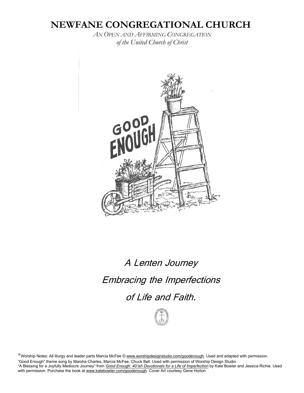# **NEWFANE CONGREGATIONAL CHURCH**

*AN OPEN AND AFFIRMING CONGREGATION of the United Church of Christ*



# A Lenten Journey Embracing the Imperfections of Life and Faith.



\*Worship Notes: All liturgy and leader parts Marcia McFee © [www.worshipdesignstudio.com/goodenough.](http://www.worshipdesignstudio.com/goodenough) Used and adapted with permission. "Good Enough" theme song by Marsha Charles, Marcia McFee, Chuck Bell. Used with permission of Worship Design Studio. "A Blessing for a Joyfully Mediocre Journey" from *Good Enough: 40'ish Devotionals for a Life of [Imperfection](https://katebowler.com/good-enough/)* by Kate Bowler and Jessica Richie. Used with permission. Purchase the book at [www.katebowler.com/goodenough.](http://www.katebowler.com/goodenough) Cover Art courtesy Gene Horton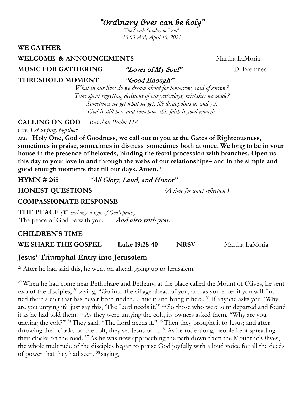# *"Ordinary lives can be holy"*

*The Sixth Sunday in Lent" 10:00 AM, April 10, 2022*

#### **WE GATHER**

#### **WELCOME & ANNOUNCEMENTS** Martha LaMoria

**MUSIC FOR GATHERING** "Lover of My Soul" D. Bremnes

**THRESHOLD MOMENT** "Good Enough"

*What in our lives do we dream about for tomorrow, void of sorrow? Time spent regretting decisions of our yesterdays, mistakes we made? Sometimes we get what we get, life disappoints us and yet, God is still here and somehow, this faith is good enough.*

**CALLING ON GOD** *Based on Psalm 118*

ONE: *Let us pray together:*

**ALL: Holy One, God of Goodness, we call out to you at the Gates of Righteousness, sometimes in praise, sometimes in distress–sometimes both at once. We long to be in your house in the presence of beloveds, binding the festal procession with branches. Open us this day to your love in and through the webs of our relationships– and in the simple and good enough moments that fill our days. Amen.** \*

**HYMN # 265** "All Glory, Laud, and Honor"

**HONEST QUESTIONS** *(A time for quiet reflection.)*

### **COMPASSIONATE RESPONSE**

**THE PEACE** *(We exchange a signs of God's peace.)* The peace of God be with you. And also with you.

### **CHILDREN'S TIME**

**WE SHARE THE GOSPEL Luke 19:28-40 NRSV** Martha LaMoria

## **Jesus' Triumphal Entry into Jerusalem**

<sup>28</sup> After he had said this, he went on ahead, going up to Jerusalem.

<sup>29</sup> When he had come near Bethphage and Bethany, at the place called the Mount of Olives, he sent two of the disciples, 30 saying, "Go into the village ahead of you, and as you enter it you will find tied there a colt that has never been ridden. Untie it and bring it here. 31 If anyone asks you, 'Why are you untying it?' just say this, 'The Lord needs it.'" 32 So those who were sent departed and found it as he had told them. 33As they were untying the colt, its owners asked them, "Why are you untying the colt?" <sup>34</sup>They said, "The Lord needs it." <sup>35</sup>Then they brought it to Jesus; and after throwing their cloaks on the colt, they set Jesus on it. 36As he rode along, people kept spreading their cloaks on the road. 37As he was now approaching the path down from the Mount of Olives, the whole multitude of the disciples began to praise God joyfully with a loud voice for all the deeds of power that they had seen, 38 saying,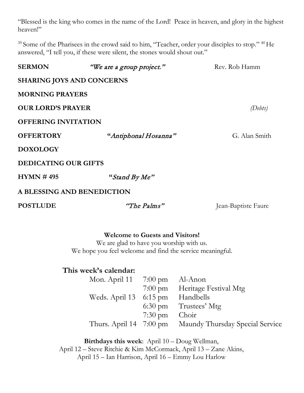"Blessed is the king who comes in the name of the Lord! Peace in heaven, and glory in the highest heaven!"

<sup>39</sup> Some of the Pharisees in the crowd said to him, "Teacher, order your disciples to stop." <sup>40</sup> He answered, "I tell you, if these were silent, the stones would shout out."

| <b>SERMON</b>                    | "We are a group project."<br>Rev. Rob Hamm |                     |  |
|----------------------------------|--------------------------------------------|---------------------|--|
| <b>SHARING JOYS AND CONCERNS</b> |                                            |                     |  |
| <b>MORNING PRAYERS</b>           |                                            |                     |  |
| <b>OUR LORD'S PRAYER</b>         | (Debts)                                    |                     |  |
| <b>OFFERING INVITATION</b>       |                                            |                     |  |
| <b>OFFERTORY</b>                 | "Antiphonal Hosanna"<br>G. Alan Smith      |                     |  |
| <b>DOXOLOGY</b>                  |                                            |                     |  |
| <b>DEDICATING OUR GIFTS</b>      |                                            |                     |  |
| HYMN #495                        | "Stand By Me"                              |                     |  |
| A BLESSING AND BENEDICTION       |                                            |                     |  |
| <b>POSTLUDE</b>                  | "The Palms"                                | Jean-Baptiste Faure |  |

#### **Welcome to Guests and Visitors!**

We are glad to have you worship with us. We hope you feel welcome and find the service meaningful.

#### **This week's calendar:**

| Mon. April 11 7:00 pm Al-Anon    |                   |                                                         |
|----------------------------------|-------------------|---------------------------------------------------------|
|                                  |                   | 7:00 pm Heritage Festival Mtg                           |
| Weds. April 13 6:15 pm Handbells |                   |                                                         |
|                                  |                   | $6:30 \text{ pm}$ Trustees' Mtg                         |
|                                  | $7:30 \text{ pm}$ | Choir                                                   |
|                                  |                   | Thurs. April 14 7:00 pm Maundy Thursday Special Service |

**Birthdays this week**: April 10 – Doug Wellman, April 12 – Steve Ritchie & Kim McCormack, April 13 – Zane Akins, April 15 – Ian Harrison, April 16 – Emmy Lou Harlow